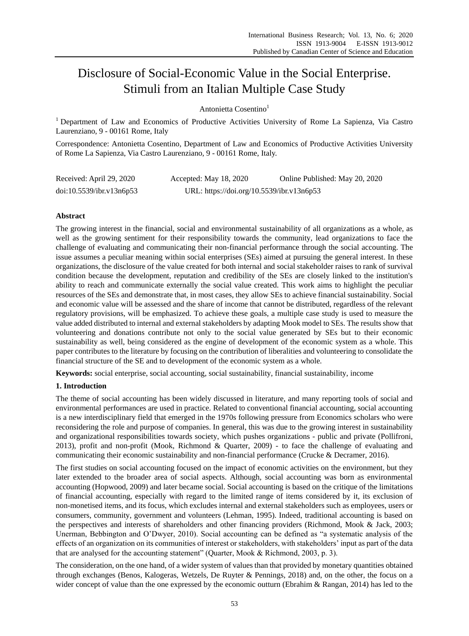# Disclosure of Social-Economic Value in the Social Enterprise. Stimuli from an Italian Multiple Case Study

Antonietta Cosentino<sup>1</sup>

<sup>1</sup> Department of Law and Economics of Productive Activities University of Rome La Sapienza, Via Castro Laurenziano, 9 - 00161 Rome, Italy

Correspondence: Antonietta Cosentino, Department of Law and Economics of Productive Activities University of Rome La Sapienza, Via Castro Laurenziano, 9 - 00161 Rome, Italy.

| Received: April 29, 2020 | Accepted: May 18, 2020                    | Online Published: May 20, 2020 |
|--------------------------|-------------------------------------------|--------------------------------|
| doi:10.5539/ibr.v13n6p53 | URL: https://doi.org/10.5539/ibr.v13n6p53 |                                |

# **Abstract**

The growing interest in the financial, social and environmental sustainability of all organizations as a whole, as well as the growing sentiment for their responsibility towards the community, lead organizations to face the challenge of evaluating and communicating their non-financial performance through the social accounting. The issue assumes a peculiar meaning within social enterprises (SEs) aimed at pursuing the general interest. In these organizations, the disclosure of the value created for both internal and social stakeholder raises to rank of survival condition because the development, reputation and credibility of the SEs are closely linked to the institution's ability to reach and communicate externally the social value created. This work aims to highlight the peculiar resources of the SEs and demonstrate that, in most cases, they allow SEs to achieve financial sustainability. Social and economic value will be assessed and the share of income that cannot be distributed, regardless of the relevant regulatory provisions, will be emphasized. To achieve these goals, a multiple case study is used to measure the value added distributed to internal and external stakeholders by adapting Mook model to SEs. The results show that volunteering and donations contribute not only to the social value generated by SEs but to their economic sustainability as well, being considered as the engine of development of the economic system as a whole. This paper contributes to the literature by focusing on the contribution of liberalities and volunteering to consolidate the financial structure of the SE and to development of the economic system as a whole.

**Keywords:** social enterprise, social accounting, social sustainability, financial sustainability, income

## **1. Introduction**

The theme of social accounting has been widely discussed in literature, and many reporting tools of social and environmental performances are used in practice. Related to conventional financial accounting, social accounting is a new interdisciplinary field that emerged in the 1970s following pressure from Economics scholars who were reconsidering the role and purpose of companies. In general, this was due to the growing interest in sustainability and organizational responsibilities towards society, which pushes organizations - public and private (Pollifroni, 2013), profit and non-profit (Mook, Richmond & Quarter, 2009) - to face the challenge of evaluating and communicating their economic sustainability and non-financial performance (Crucke & Decramer, 2016).

The first studies on social accounting focused on the impact of economic activities on the environment, but they later extended to the broader area of social aspects. Although, social accounting was born as environmental accounting (Hopwood, 2009) and later became social. Social accounting is based on the critique of the limitations of financial accounting, especially with regard to the limited range of items considered by it, its exclusion of non-monetised items, and its focus, which excludes internal and external stakeholders such as employees, users or consumers, community, government and volunteers (Lehman, 1995). Indeed, traditional accounting is based on the perspectives and interests of shareholders and other financing providers (Richmond, Mook & Jack, 2003; Unerman, Bebbington and O"Dwyer, 2010). Social accounting can be defined as "a systematic analysis of the effects of an organization on its communities of interest or stakeholders, with stakeholders" input as part of the data that are analysed for the accounting statement" (Quarter, Mook & Richmond, 2003, p. 3).

The consideration, on the one hand, of a wider system of values than that provided by monetary quantities obtained through exchanges (Benos, Kalogeras, Wetzels, De Ruyter & Pennings, 2018) and, on the other, the focus on a wider concept of value than the one expressed by the economic outturn (Ebrahim & Rangan, 2014) has led to the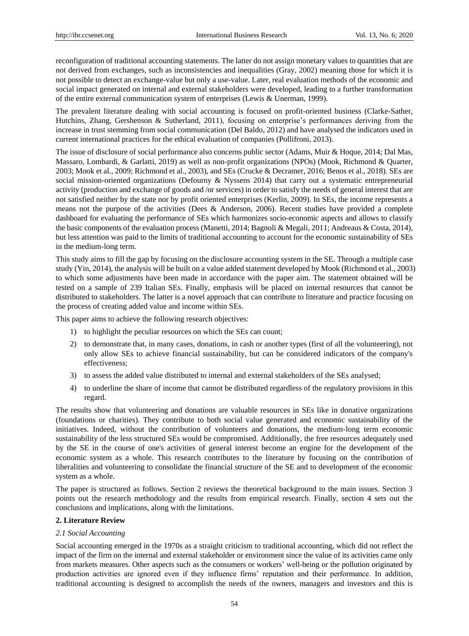reconfiguration of traditional accounting statements. The latter do not assign monetary values to quantities that are not derived from exchanges, such as inconsistencies and inequalities (Gray, 2002) meaning those for which it is not possible to detect an exchange-value but only a use-value. Later, real evaluation methods of the economic and social impact generated on internal and external stakeholders were developed, leading to a further transformation of the entire external communication system of enterprises (Lewis & Unerman, 1999).

The prevalent literature dealing with social accounting is focused on profit-oriented business (Clarke-Sather, Hutchins, Zhang, Gershenson & Sutherland, 2011), focusing on enterprise's performances deriving from the increase in trust stemming from social communication (Del Baldo, 2012) and have analysed the indicators used in current international practices for the ethical evaluation of companies (Pollifroni, 2013).

The issue of disclosure of social performance also concerns public sector (Adams, Muir & Hoque, 2014; Dal Mas, Massaro, Lombardi, & Garlatti, 2019) as well as non-profit organizations (NPOs) (Mook, Richmond & Quarter, 2003; Mook et al., 2009; Richmond et al., 2003), and SEs (Crucke & Decramer, 2016; Benos et al., 2018). SEs are social mission-oriented organizations (Defourny & Nyssens 2014) that carry out a systematic entrepreneurial activity (production and exchange of goods and /or services) in order to satisfy the needs of general interest that are not satisfied neither by the state nor by profit oriented enterprises (Kerlin, 2009). In SEs, the income represents a means not the purpose of the activities (Dees & Anderson, 2006). Recent studies have provided a complete dashboard for evaluating the performance of SEs which harmonizes socio-economic aspects and allows to classify the basic components of the evaluation process (Manetti, 2014; Bagnoli & Megali, 2011; Andreaus & Costa, 2014), but less attention was paid to the limits of traditional accounting to account for the economic sustainability of SEs in the medium-long term.

This study aims to fill the gap by focusing on the disclosure accounting system in the SE. Through a multiple case study (Yin, 2014), the analysis will be built on a value added statement developed by Mook (Richmond et al., 2003) to which some adjustments have been made in accordance with the paper aim. The statement obtained will be tested on a sample of 239 Italian SEs. Finally, emphasis will be placed on internal resources that cannot be distributed to stakeholders. The latter is a novel approach that can contribute to literature and practice focusing on the process of creating added value and income within SEs.

This paper aims to achieve the following research objectives:

- 1) to highlight the peculiar resources on which the SEs can count;
- 2) to demonstrate that, in many cases, donations, in cash or another types (first of all the volunteering), not only allow SEs to achieve financial sustainability, but can be considered indicators of the company's effectiveness;
- 3) to assess the added value distributed to internal and external stakeholders of the SEs analysed;
- 4) to underline the share of income that cannot be distributed regardless of the regulatory provisions in this regard.

The results show that volunteering and donations are valuable resources in SEs like in donative organizations (foundations or charities). They contribute to both social value generated and economic sustainability of the initiatives. Indeed, without the contribution of volunteers and donations, the medium-long term economic sustainability of the less structured SEs would be compromised. Additionally, the free resources adequately used by the SE in the course of one's activities of general interest become an engine for the development of the economic system as a whole. This research contributes to the literature by focusing on the contribution of liberalities and volunteering to consolidate the financial structure of the SE and to development of the economic system as a whole.

The paper is structured as follows. Section 2 reviews the theoretical background to the main issues. Section 3 points out the research methodology and the results from empirical research. Finally, section 4 sets out the conclusions and implications, along with the limitations.

## **2. Literature Review**

#### *2.1 Social Accounting*

Social accounting emerged in the 1970s as a straight criticism to traditional accounting, which did not reflect the impact of the firm on the internal and external stakeholder or environment since the value of its activities came only from markets measures. Other aspects such as the consumers or workers" well-being or the pollution originated by production activities are ignored even if they influence firms" reputation and their performance. In addition, traditional accounting is designed to accomplish the needs of the owners, managers and investors and this is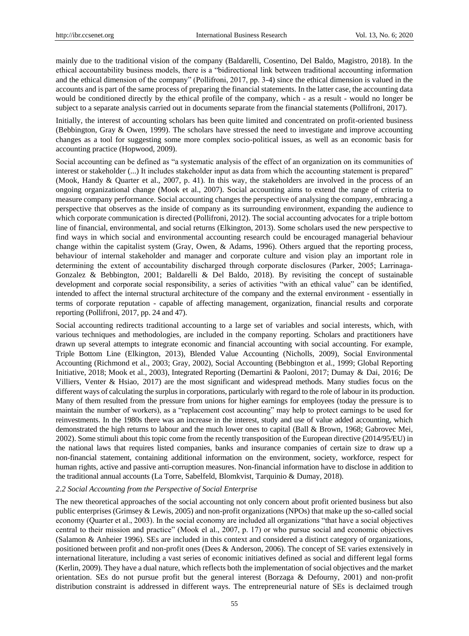mainly due to the traditional vision of the company (Baldarelli, Cosentino, Del Baldo, Magistro, 2018). In the ethical accountability business models, there is a "bidirectional link between traditional accounting information and the ethical dimension of the company" (Pollifroni, 2017, pp. 3-4) since the ethical dimension is valued in the accounts and is part of the same process of preparing the financial statements. In the latter case, the accounting data would be conditioned directly by the ethical profile of the company, which - as a result - would no longer be subject to a separate analysis carried out in documents separate from the financial statements (Pollifroni, 2017).

Initially, the interest of accounting scholars has been quite limited and concentrated on profit-oriented business (Bebbington, Gray & Owen, 1999). The scholars have stressed the need to investigate and improve accounting changes as a tool for suggesting some more complex socio-political issues, as well as an economic basis for accounting practice (Hopwood, 2009).

Social accounting can be defined as "a systematic analysis of the effect of an organization on its communities of interest or stakeholder (...) It includes stakeholder input as data from which the accounting statement is prepared" (Mook, Handy & Quarter et al., 2007, p. 41). In this way, the stakeholders are involved in the process of an ongoing organizational change (Mook et al., 2007). Social accounting aims to extend the range of criteria to measure company performance. Social accounting changes the perspective of analysing the company, embracing a perspective that observes as the inside of company as its surrounding environment, expanding the audience to which corporate communication is directed (Pollifroni, 2012). The social accounting advocates for a triple bottom line of financial, environmental, and social returns (Elkington, 2013). Some scholars used the new perspective to find ways in which social and environmental accounting research could be encouraged managerial behaviour change within the capitalist system (Gray, Owen, & Adams, 1996). Others argued that the reporting process, behaviour of internal stakeholder and manager and corporate culture and vision play an important role in determining the extent of accountability discharged through corporate disclosures (Parker, 2005; Larrinaga-Gonzalez & Bebbington, 2001; Baldarelli & Del Baldo, 2018). By revisiting the concept of sustainable development and corporate social responsibility, a series of activities "with an ethical value" can be identified, intended to affect the internal structural architecture of the company and the external environment - essentially in terms of corporate reputation - capable of affecting management, organization, financial results and corporate reporting (Pollifroni, 2017, pp. 24 and 47).

Social accounting redirects traditional accounting to a large set of variables and social interests, which, with various techniques and methodologies, are included in the company reporting. Scholars and practitioners have drawn up several attempts to integrate economic and financial accounting with social accounting. For example, Triple Bottom Line (Elkington, 2013), Blended Value Accounting (Nicholls, 2009), Social Environmental Accounting (Richmond et al., 2003; Gray, 2002), Social Accounting (Bebbington et al., 1999; Global Reporting Initiative, 2018; Mook et al., 2003), Integrated Reporting (Demartini & Paoloni, 2017; Dumay & Dai, 2016; De Villiers, Venter & Hsiao, 2017) are the most significant and widespread methods. Many studies focus on the different ways of calculating the surplus in corporations, particularly with regard to the role of labour in its production. Many of them resulted from the pressure from unions for higher earnings for employees (today the pressure is to maintain the number of workers), as a "replacement cost accounting" may help to protect earnings to be used for reinvestments. In the 1980s there was an increase in the interest, study and use of value added accounting, which demonstrated the high returns to labour and the much lower ones to capital (Ball & Brown, 1968; Gabrovec Mei, 2002). Some stimuli about this topic come from the recently transposition of the European directive (2014/95/EU) in the national laws that requires listed companies, banks and insurance companies of certain size to draw up a non-financial statement, containing additional information on the environment, society, workforce, respect for human rights, active and passive anti-corruption measures. Non-financial information have to disclose in addition to the traditional annual accounts (La Torre, Sabelfeld, Blomkvist, Tarquinio & Dumay, 2018).

## *2.2 Social Accounting from the Perspective of Social Enterprise*

The new theoretical approaches of the social accounting not only concern about profit oriented business but also public enterprises (Grimsey & Lewis, 2005) and non-profit organizations (NPOs) that make up the so-called social economy (Quarter et al., 2003). In the social economy are included all organizations "that have a social objectives central to their mission and practice" (Mook el al., 2007, p. 17) or who pursue social and economic objectives (Salamon & Anheier 1996). SEs are included in this context and considered a distinct category of organizations, positioned between profit and non-profit ones (Dees & Anderson, 2006). The concept of SE varies extensively in international literature, including a vast series of economic initiatives defined as social and different legal forms (Kerlin, 2009). They have a dual nature, which reflects both the implementation of social objectives and the market orientation. SEs do not pursue profit but the general interest (Borzaga & Defourny, 2001) and non-profit distribution constraint is addressed in different ways. The entrepreneurial nature of SEs is declaimed trough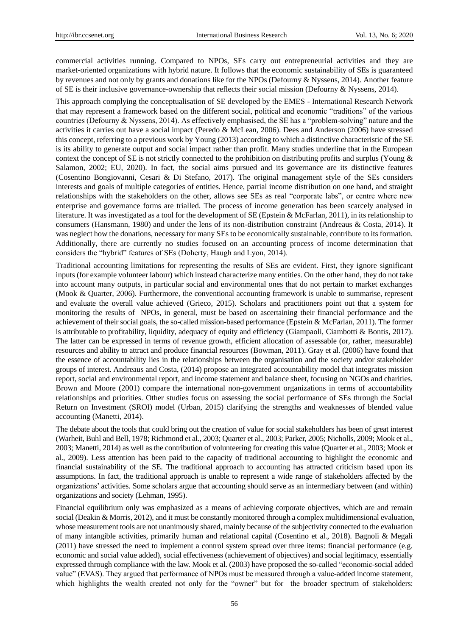commercial activities running. Compared to NPOs, SEs carry out entrepreneurial activities and they are market-oriented organizations with hybrid nature. It follows that the economic sustainability of SEs is guaranteed by revenues and not only by grants and donations like for the NPOs (Defourny & Nyssens, 2014). Another feature of SE is their inclusive governance-ownership that reflects their social mission (Defourny & Nyssens, 2014).

This approach complying the conceptualisation of SE developed by the EMES - International Research Network that may represent a framework based on the different social, political and economic "traditions" of the various countries (Defourny & Nyssens, 2014). As effectively emphasised, the SE has a "problem-solving" nature and the activities it carries out have a social impact (Peredo & McLean, 2006). Dees and Anderson (2006) have stressed this concept, referring to a previous work by Young (2013) according to which a distinctive characteristic of the SE is its ability to generate output and social impact rather than profit. Many studies underline that in the European context the concept of SE is not strictly connected to the prohibition on distributing profits and surplus (Young & Salamon, 2002; EU, 2020). In fact, the social aims pursued and its governance are its distinctive features (Cosentino Bongiovanni, Cesari & Di Stefano, 2017). The original management style of the SEs considers interests and goals of multiple categories of entities. Hence, partial income distribution on one hand, and straight relationships with the stakeholders on the other, allows see SEs as real "corporate labs", or centre where new enterprise and governance forms are trialled. The process of income generation has been scarcely analysed in literature. It was investigated as a tool for the development of SE (Epstein & McFarlan, 2011), in its relationship to consumers (Hansmann, 1980) and under the lens of its non-distribution constraint (Andreaus & Costa, 2014). It was neglect how the donations, necessary for many SEs to be economically sustainable, contribute to its formation. Additionally, there are currently no studies focused on an accounting process of income determination that considers the "hybrid" features of SEs (Doherty, Haugh and Lyon, 2014).

Traditional accounting limitations for representing the results of SEs are evident. First, they ignore significant inputs (for example volunteer labour) which instead characterize many entities. On the other hand, they do not take into account many outputs, in particular social and environmental ones that do not pertain to market exchanges (Mook & Quarter, 2006). Furthermore, the conventional accounting framework is unable to summarise, represent and evaluate the overall value achieved (Grieco, 2015). Scholars and practitioners point out that a system for monitoring the results of NPOs, in general, must be based on ascertaining their financial performance and the achievement of their social goals, the so-called mission-based performance (Epstein & McFarlan, 2011). The former is attributable to profitability, liquidity, adequacy of equity and efficiency (Giampaoli, Ciambotti & Bontis, 2017). The latter can be expressed in terms of revenue growth, efficient allocation of assessable (or, rather, measurable) resources and ability to attract and produce financial resources (Bowman, 2011). Gray et al. (2006) have found that the essence of accountability lies in the relationships between the organisation and the society and/or stakeholder groups of interest. Andreaus and Costa, (2014) propose an integrated accountability model that integrates mission report, social and environmental report, and income statement and balance sheet, focusing on NGOs and charities. Brown and Moore (2001) compare the international non-government organizations in terms of accountability relationships and priorities. Other studies focus on assessing the social performance of SEs through the Social Return on Investment (SROI) model (Urban, 2015) clarifying the strengths and weaknesses of blended value accounting (Manetti, 2014).

The debate about the tools that could bring out the creation of value for social stakeholders has been of great interest (Warheit, Buhl and Bell, 1978; Richmond et al., 2003; Quarter et al., 2003; Parker, 2005; Nicholls, 2009; Mook et al., 2003; Manetti, 2014) as well as the contribution of volunteering for creating this value (Quarter et al., 2003; Mook et al., 2009). Less attention has been paid to the capacity of traditional accounting to highlight the economic and financial sustainability of the SE. The traditional approach to accounting has attracted criticism based upon its assumptions. In fact, the traditional approach is unable to represent a wide range of stakeholders affected by the organizations" activities. Some scholars argue that accounting should serve as an intermediary between (and within) organizations and society (Lehman, 1995).

Financial equilibrium only was emphasized as a means of achieving corporate objectives, which are and remain social (Deakin & Morris, 2012), and it must be constantly monitored through a complex multidimensional evaluation, whose measurement tools are not unanimously shared, mainly because of the subjectivity connected to the evaluation of many intangible activities, primarily human and relational capital (Cosentino et al., 2018). Bagnoli & Megali (2011) have stressed the need to implement a control system spread over three items: financial performance (e.g. economic and social value added), social effectiveness (achievement of objectives) and social legitimacy, essentially expressed through compliance with the law. Mook et al. (2003) have proposed the so-called "economic-social added value" (EVAS). They argued that performance of NPOs must be measured through a value-added income statement, which highlights the wealth created not only for the "owner" but for the broader spectrum of stakeholders: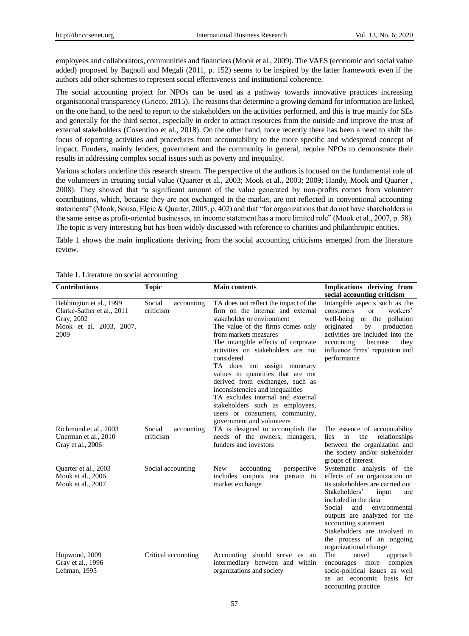employees and collaborators, communities and financiers (Mook et al., 2009). The VAES (economic and social value added) proposed by Bagnoli and Megali (2011, p. 152) seems to be inspired by the latter framework even if the authors add other schemes to represent social effectiveness and institutional coherence.

The social accounting project for NPOs can be used as a pathway towards innovative practices increasing organisational transparency (Grieco, 2015). The reasons that determine a growing demand for information are linked, on the one hand, to the need to report to the stakeholders on the activities performed, and this is true mainly for SEs and generally for the third sector, especially in order to attract resources from the outside and improve the trust of external stakeholders (Cosentino et al., 2018). On the other hand, more recently there has been a need to shift the focus of reporting activities and procedures from accountability to the more specific and widespread concept of impact. Funders, mainly lenders, government and the community in general, require NPOs to demonstrate their results in addressing complex social issues such as poverty and inequality.

Various scholars underline this research stream. The perspective of the authors is focused on the fundamental role of the volunteers in creating social value (Quarter et al., 2003; Mook et al., 2003; 2009; Handy, Mook and Quarter , 2008). They showed that "a significant amount of the value generated by non-profits comes from volunteer contributions, which, because they are not exchanged in the market, are not reflected in conventional accounting statements" (Mook, Sousa, Elgie & Quarter, 2005, p. 402) and that "for organizations that do not have shareholders in the same sense as profit-oriented businesses, an income statement has a more limited role" (Mook et al., 2007, p. 58). The topic is very interesting but has been widely discussed with reference to charities and philanthropic entities.

Table 1 shows the main implications deriving from the social accounting criticisms emerged from the literature review.

| <b>Contributions</b>                                                                                   | <b>Topic</b>                      | <b>Main contents</b>                                                                                                                                                                                                                                                                                                                                                                                                                                                                                                                                | Implications deriving from                                                                                                                                                                                                                                                                                                               |  |  |
|--------------------------------------------------------------------------------------------------------|-----------------------------------|-----------------------------------------------------------------------------------------------------------------------------------------------------------------------------------------------------------------------------------------------------------------------------------------------------------------------------------------------------------------------------------------------------------------------------------------------------------------------------------------------------------------------------------------------------|------------------------------------------------------------------------------------------------------------------------------------------------------------------------------------------------------------------------------------------------------------------------------------------------------------------------------------------|--|--|
|                                                                                                        |                                   |                                                                                                                                                                                                                                                                                                                                                                                                                                                                                                                                                     | social accounting criticism                                                                                                                                                                                                                                                                                                              |  |  |
| Bebbington et al., 1999<br>Clarke-Sather et al., 2011<br>Gray, 2002<br>Mook et al. 2003, 2007,<br>2009 | Social<br>accounting<br>criticism | TA does not reflect the impact of the<br>firm on the internal and external<br>stakeholder or environment<br>The value of the firms comes only<br>from markets measures<br>The intangible effects of corporate<br>activities on stakeholders are not<br>considered<br>TA does not assign monetary<br>values to quantities that are not<br>derived from exchanges, such as<br>inconsistencies and inequalities<br>TA excludes internal and external<br>stakeholders such as employees,<br>users or consumers, community,<br>government and volunteers | Intangible aspects such as the<br>consumers<br>workers'<br><b>or</b><br>or the pollution<br>well-being<br>originated<br>production<br>by<br>activities are included into the<br>accounting<br>because<br>they<br>influence firms' reputation and<br>performance                                                                          |  |  |
| Richmond et al., 2003<br>Unerman et al., 2010<br>Gray et al., 2006                                     | Social<br>accounting<br>criticism | TA is designed to accomplish the<br>needs of the owners, managers,<br>funders and investors                                                                                                                                                                                                                                                                                                                                                                                                                                                         | The essence of accountability<br>the<br>relationships<br>lies<br>in<br>between the organization and<br>the society and/or stakeholder<br>groups of interest                                                                                                                                                                              |  |  |
| Quarter et al., 2003<br>Mook et al., 2006<br>Mook et al., 2007                                         | Social accounting                 | New<br>accounting<br>perspective<br>includes outputs not pertain to<br>market exchange                                                                                                                                                                                                                                                                                                                                                                                                                                                              | Systematic analysis of the<br>effects of an organization on<br>its stakeholders are carried out<br>Stakeholders'<br>input<br>are<br>included in the data<br>Social<br>environmental<br>and<br>outputs are analyzed for the<br>accounting statement<br>Stakeholders are involved in<br>the process of an ongoing<br>organizational change |  |  |
| Hopwood, 2009<br>Gray et al., 1996<br>Lehman, 1995                                                     | Critical accounting               | Accounting should serve as an<br>intermediary between and within<br>organizations and society                                                                                                                                                                                                                                                                                                                                                                                                                                                       | The<br>novel<br>approach<br>complex<br>encourages more<br>socio-political issues as well<br>an economic basis for<br>as<br>accounting practice                                                                                                                                                                                           |  |  |

#### Table 1. Literature on social accounting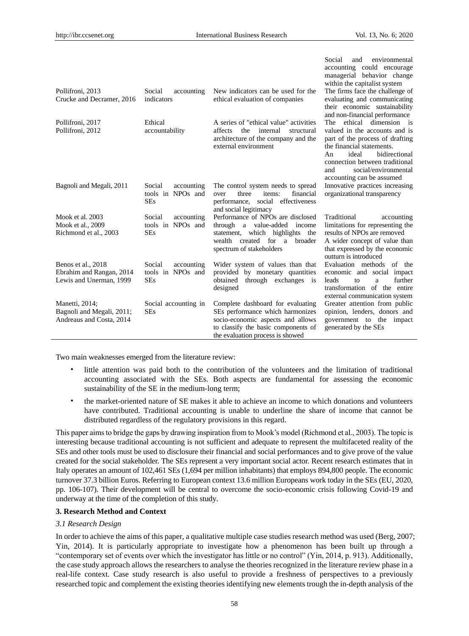|                                                                           |                                                                     |                                                                                                                                                                                       | Social<br>environmental<br>and<br>accounting could encourage<br>managerial behavior change<br>within the capitalist system                                                                                                                                    |
|---------------------------------------------------------------------------|---------------------------------------------------------------------|---------------------------------------------------------------------------------------------------------------------------------------------------------------------------------------|---------------------------------------------------------------------------------------------------------------------------------------------------------------------------------------------------------------------------------------------------------------|
| Pollifroni, 2013<br>Crucke and Decramer, 2016                             | Social<br>accounting<br>indicators                                  | New indicators can be used for the<br>ethical evaluation of companies                                                                                                                 | The firms face the challenge of<br>evaluating and communicating<br>their economic sustainability<br>and non-financial performance                                                                                                                             |
| Pollifroni, 2017<br>Pollifroni, 2012                                      | Ethical<br>accountability                                           | A series of "ethical value" activities<br>affects<br>the<br>internal<br>structural<br>architecture of the company and the<br>external environment                                     | ethical<br>dimension is<br>The<br>valued in the accounts and is<br>part of the process of drafting<br>the financial statements.<br>ideal<br>bidirectional<br>An<br>connection between traditional<br>social/environmental<br>and<br>accounting can be assumed |
| Bagnoli and Megali, 2011                                                  | Social<br>accounting<br>tools in NPO <sub>s</sub> and<br><b>SEs</b> | The control system needs to spread<br>three<br>items:<br>financial<br>over<br>performance, social effectiveness<br>and social legitimacy                                              | Innovative practices increasing<br>organizational transparency                                                                                                                                                                                                |
| Mook et al. 2003<br>Mook et al., 2009<br>Richmond et al., 2003            | Social<br>accounting<br>tools in NPO <sub>s</sub> and<br><b>SEs</b> | Performance of NPOs are disclosed<br>through<br>a value-added<br>income<br>which highlights<br>statement,<br>the<br>wealth created for a<br>broader<br>spectrum of stakeholders       | Traditional<br>accounting<br>limitations for representing the<br>results of NPOs are removed<br>A wider concept of value than<br>that expressed by the economic<br>outturn is introduced                                                                      |
| Benos et al., 2018<br>Ebrahim and Rangan, 2014<br>Lewis and Unerman, 1999 | Social<br>accounting<br>tools in NPO <sub>s</sub> and<br><b>SEs</b> | Wider system of values than that<br>provided by monetary quantities<br>through exchanges is<br>obtained<br>designed                                                                   | Evaluation methods of the<br>economic and social impact<br>further<br>leads<br>to<br>a<br>transformation of the entire<br>external communication system                                                                                                       |
| Manetti, 2014;<br>Bagnoli and Megali, 2011;<br>Andreaus and Costa, 2014   | Social accounting in<br><b>SEs</b>                                  | Complete dashboard for evaluating<br>SEs performance which harmonizes<br>socio-economic aspects and allows<br>to classify the basic components of<br>the evaluation process is showed | Greater attention from public<br>opinion, lenders, donors and<br>government to the impact<br>generated by the SEs                                                                                                                                             |

Two main weaknesses emerged from the literature review:

- little attention was paid both to the contribution of the volunteers and the limitation of traditional accounting associated with the SEs. Both aspects are fundamental for assessing the economic sustainability of the SE in the medium-long term;
- the market-oriented nature of SE makes it able to achieve an income to which donations and volunteers have contributed. Traditional accounting is unable to underline the share of income that cannot be distributed regardless of the regulatory provisions in this regard.

This paper aims to bridge the gaps by drawing inspiration from to Mook"s model (Richmond et al., 2003). The topic is interesting because traditional accounting is not sufficient and adequate to represent the multifaceted reality of the SEs and other tools must be used to disclosure their financial and social performances and to give prove of the value created for the social stakeholder. The SEs represent a very important social actor. Recent research estimates that in Italy operates an amount of 102,461 SEs (1,694 per million inhabitants) that employs 894,800 people. The economic turnover 37.3 billion Euros. Referring to European context 13.6 million Europeans work today in the SEs (EU, 2020, pp. 106-107). Their development will be central to overcome the socio-economic crisis following Covid-19 and underway at the time of the completion of this study.

#### **3. Research Method and Context**

#### *3.1 Research Design*

In order to achieve the aims of this paper, a qualitative multiple case studies research method was used (Berg, 2007; Yin, 2014). It is particularly appropriate to investigate how a phenomenon has been built up through a "contemporary set of events over which the investigator has little or no control" (Yin, 2014, p. 913). Additionally, the case study approach allows the researchers to analyse the theories recognized in the literature review phase in a real-life context. Case study research is also useful to provide a freshness of perspectives to a previously researched topic and complement the existing theories identifying new elements trough the in-depth analysis of the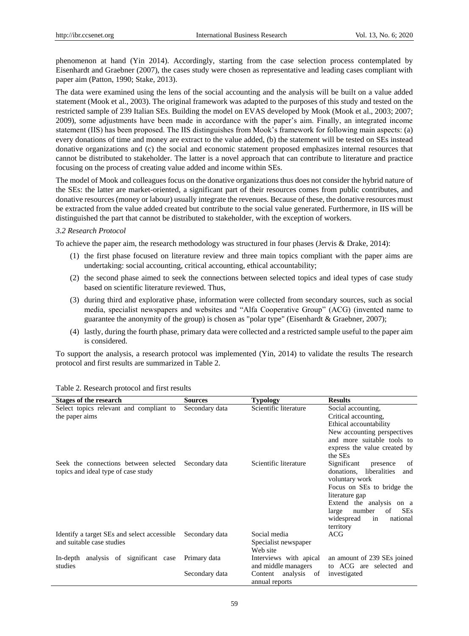phenomenon at hand (Yin 2014). Accordingly, starting from the case selection process contemplated by Eisenhardt and Graebner (2007), the cases study were chosen as representative and leading cases compliant with paper aim (Patton, 1990; Stake, 2013).

The data were examined using the lens of the social accounting and the analysis will be built on a value added statement (Mook et al., 2003). The original framework was adapted to the purposes of this study and tested on the restricted sample of 239 Italian SEs. Building the model on EVAS developed by Mook (Mook et al., 2003; 2007; 2009), some adjustments have been made in accordance with the paper"s aim. Finally, an integrated income statement (IIS) has been proposed. The IIS distinguishes from Mook"s framework for following main aspects: (a) every donations of time and money are extract to the value added, (b) the statement will be tested on SEs instead donative organizations and (c) the social and economic statement proposed emphasizes internal resources that cannot be distributed to stakeholder. The latter is a novel approach that can contribute to literature and practice focusing on the process of creating value added and income within SEs.

The model of Mook and colleagues focus on the donative organizations thus does not consider the hybrid nature of the SEs: the latter are market-oriented, a significant part of their resources comes from public contributes, and donative resources (money or labour) usually integrate the revenues. Because of these, the donative resources must be extracted from the value added created but contribute to the social value generated. Furthermore, in IIS will be distinguished the part that cannot be distributed to stakeholder, with the exception of workers.

## *3.2 Research Protocol*

To achieve the paper aim, the research methodology was structured in four phases (Jervis & Drake, 2014):

- (1) the first phase focused on literature review and three main topics compliant with the paper aims are undertaking: social accounting, critical accounting, ethical accountability;
- (2) the second phase aimed to seek the connections between selected topics and ideal types of case study based on scientific literature reviewed. Thus,
- (3) during third and explorative phase, information were collected from secondary sources, such as social media, specialist newspapers and websites and "Alfa Cooperative Group" (ACG) (invented name to guarantee the anonymity of the group) is chosen as "polar type" (Eisenhardt & Graebner, 2007);
- (4) lastly, during the fourth phase, primary data were collected and a restricted sample useful to the paper aim is considered.

To support the analysis, a research protocol was implemented (Yin, 2014) to validate the results The research protocol and first results are summarized in Table 2.

| <b>Stages of the research</b>                                                | <b>Sources</b> | <b>Typology</b>                                  | <b>Results</b>                                                                                                                                                                                                                                    |
|------------------------------------------------------------------------------|----------------|--------------------------------------------------|---------------------------------------------------------------------------------------------------------------------------------------------------------------------------------------------------------------------------------------------------|
| Select topics relevant and compliant to<br>the paper aims                    | Secondary data | Scientific literature                            | Social accounting,<br>Critical accounting,<br>Ethical accountability<br>New accounting perspectives<br>and more suitable tools to<br>express the value created by<br>the SEs                                                                      |
| Seek the connections between selected<br>topics and ideal type of case study | Secondary data | Scientific literature                            | Significant<br>of<br>presence<br>donations, liberalities<br>and<br>voluntary work<br>Focus on SEs to bridge the<br>literature gap<br>Extend the analysis on a<br>of<br><b>SEs</b><br>number<br>large<br>widespread<br>national<br>in<br>territory |
| Identify a target SEs and select accessible<br>and suitable case studies     | Secondary data | Social media<br>Specialist newspaper<br>Web site | ACG                                                                                                                                                                                                                                               |
| analysis of significant case<br>In-depth<br>studies                          | Primary data   | Interviews with apical<br>and middle managers    | an amount of 239 SEs joined<br>to ACG are selected and                                                                                                                                                                                            |
|                                                                              | Secondary data | analysis<br>Content<br>of<br>annual reports      | investigated                                                                                                                                                                                                                                      |

#### Table 2. Research protocol and first results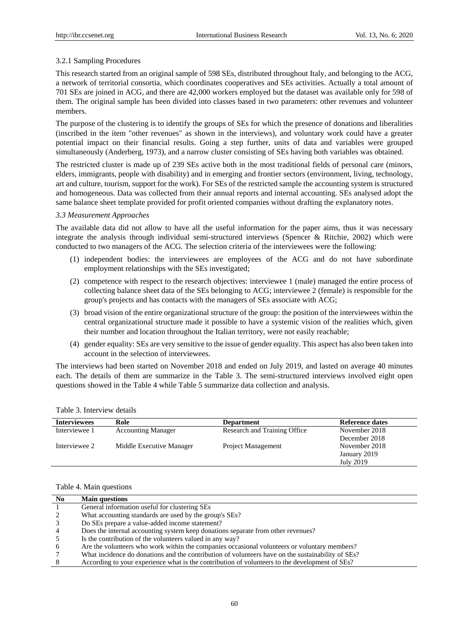## 3.2.1 Sampling Procedures

This research started from an original sample of 598 SEs, distributed throughout Italy, and belonging to the ACG, a network of territorial consortia, which coordinates cooperatives and SEs activities. Actually a total amount of 701 SEs are joined in ACG, and there are 42,000 workers employed but the dataset was available only for 598 of them. The original sample has been divided into classes based in two parameters: other revenues and volunteer members.

The purpose of the clustering is to identify the groups of SEs for which the presence of donations and liberalities (inscribed in the item "other revenues" as shown in the interviews), and voluntary work could have a greater potential impact on their financial results. Going a step further, units of data and variables were grouped simultaneously (Anderberg, 1973), and a narrow cluster consisting of SEs having both variables was obtained.

The restricted cluster is made up of 239 SEs active both in the most traditional fields of personal care (minors, elders, immigrants, people with disability) and in emerging and frontier sectors (environment, living, technology, art and culture, tourism, support for the work). For SEs of the restricted sample the accounting system is structured and homogeneous. Data was collected from their annual reports and internal accounting. SEs analysed adopt the same balance sheet template provided for profit oriented companies without drafting the explanatory notes.

## *3.3 Measurement Approaches*

The available data did not allow to have all the useful information for the paper aims, thus it was necessary integrate the analysis through individual semi-structured interviews (Spencer & Ritchie, 2002) which were conducted to two managers of the ACG. The selection criteria of the interviewees were the following:

- (1) independent bodies: the interviewees are employees of the ACG and do not have subordinate employment relationships with the SEs investigated;
- (2) competence with respect to the research objectives: interviewee 1 (male) managed the entire process of collecting balance sheet data of the SEs belonging to ACG; interviewee 2 (female) is responsible for the group's projects and has contacts with the managers of SEs associate with ACG;
- (3) broad vision of the entire organizational structure of the group: the position of the interviewees within the central organizational structure made it possible to have a systemic vision of the realities which, given their number and location throughout the Italian territory, were not easily reachable;
- (4) gender equality: SEs are very sensitive to the issue of gender equality. This aspect has also been taken into account in the selection of interviewees.

The interviews had been started on November 2018 and ended on July 2019, and lasted on average 40 minutes each. The details of them are summarize in the Table 3. The semi-structured interviews involved eight open questions showed in the Table 4 while Table 5 summarize data collection and analysis.

| <b>Interviewees</b> | Role                      | <b>Department</b>            | <b>Reference dates</b> |
|---------------------|---------------------------|------------------------------|------------------------|
| Interviewee 1       | <b>Accounting Manager</b> | Research and Training Office | November 2018          |
|                     |                           |                              | December 2018          |
| Interviewee 2       | Middle Executive Manager  | Project Management           | November 2018          |
|                     |                           |                              | January 2019           |
|                     |                           |                              | July 2019              |

#### Table 4. Main questions

| No. | <b>Main questions</b>                                                                             |
|-----|---------------------------------------------------------------------------------------------------|
|     | General information useful for clustering SEs                                                     |
|     | What accounting standards are used by the group's SEs?                                            |
|     | Do SEs prepare a value-added income statement?                                                    |
|     | Does the internal accounting system keep donations separate from other revenues?                  |
|     | Is the contribution of the volunteers valued in any way?                                          |
| 6   | Are the volunteers who work within the companies occasional volunteers or voluntary members?      |
|     | What incidence do donations and the contribution of volunteers have on the sustainability of SEs? |
|     | According to your experience what is the contribution of volunteers to the development of SEs?    |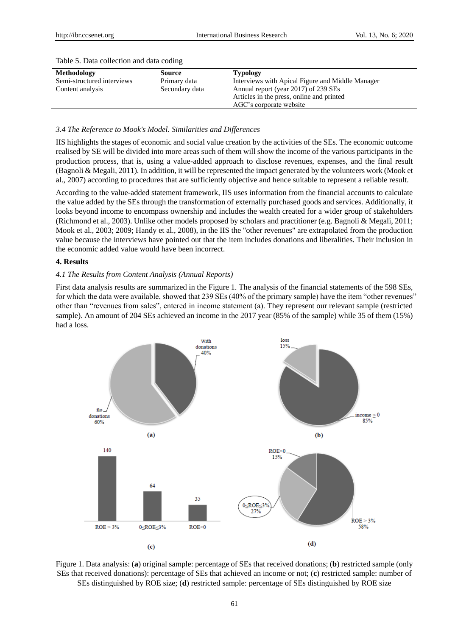| Methodology                | Source         | <b>Typology</b>                                  |
|----------------------------|----------------|--------------------------------------------------|
| Semi-structured interviews | Primary data   | Interviews with Apical Figure and Middle Manager |
| Content analysis           | Secondary data | Annual report (year 2017) of 239 SEs             |
|                            |                | Articles in the press, online and printed        |
|                            |                | AGC's corporate website                          |

## Table 5. Data collection and data coding

## *3.4 The Reference to Mook's Model. Similarities and Differences*

IIS highlights the stages of economic and social value creation by the activities of the SEs. The economic outcome realised by SE will be divided into more areas such of them will show the income of the various participants in the production process, that is, using a value-added approach to disclose revenues, expenses, and the final result (Bagnoli & Megali, 2011). In addition, it will be represented the impact generated by the volunteers work (Mook et al., 2007) according to procedures that are sufficiently objective and hence suitable to represent a reliable result.

According to the value-added statement framework, IIS uses information from the financial accounts to calculate the value added by the SEs through the transformation of externally purchased goods and services. Additionally, it looks beyond income to encompass ownership and includes the wealth created for a wider group of stakeholders (Richmond et al., 2003). Unlike other models proposed by scholars and practitioner (e.g. Bagnoli & Megali, 2011; Mook et al., 2003; 2009; Handy et al., 2008), in the IIS the "other revenues" are extrapolated from the production value because the interviews have pointed out that the item includes donations and liberalities. Their inclusion in the economic added value would have been incorrect.

## **4. Results**

## *4.1 The Results from Content Analysis (Annual Reports)*

First data analysis results are summarized in the Figure 1. The analysis of the financial statements of the 598 SEs, for which the data were available, showed that 239 SEs (40% of the primary sample) have the item "other revenues" other than "revenues from sales", entered in income statement (a). They represent our relevant sample (restricted sample). An amount of 204 SEs achieved an income in the 2017 year (85% of the sample) while 35 of them (15%) had a loss.



Figure 1. Data analysis: (**a**) original sample: percentage of SEs that received donations; (**b**) restricted sample (only SEs that received donations): percentage of SEs that achieved an income or not; (**c**) restricted sample: number of SEs distinguished by ROE size; (**d**) restricted sample: percentage of SEs distinguished by ROE size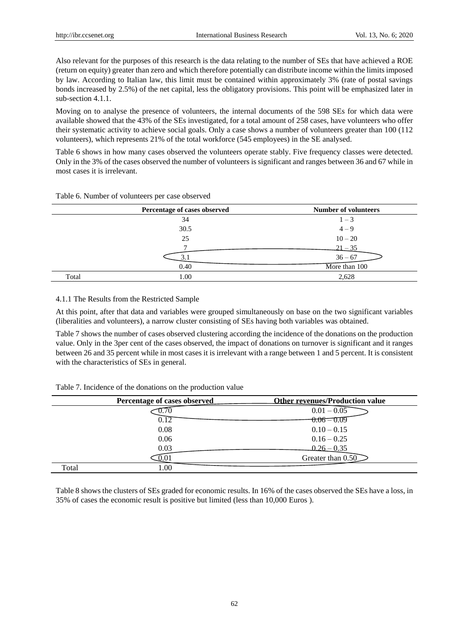Also relevant for the purposes of this research is the data relating to the number of SEs that have achieved a ROE (return on equity) greater than zero and which therefore potentially can distribute income within the limits imposed by law. According to Italian law, this limit must be contained within approximately 3% (rate of postal savings bonds increased by 2.5%) of the net capital, less the obligatory provisions. This point will be emphasized later in sub-section 4.1.1.

Moving on to analyse the presence of volunteers, the internal documents of the 598 SEs for which data were available showed that the 43% of the SEs investigated, for a total amount of 258 cases, have volunteers who offer their systematic activity to achieve social goals. Only a case shows a number of volunteers greater than 100 (112 volunteers), which represents 21% of the total workforce (545 employees) in the SE analysed.

Table 6 shows in how many cases observed the volunteers operate stably. Five frequency classes were detected. Only in the 3% of the cases observed the number of volunteers is significant and ranges between 36 and 67 while in most cases it is irrelevant.

|       | Percentage of cases observed | <b>Number of volunteers</b> |
|-------|------------------------------|-----------------------------|
|       | 34                           | $1 - 3$                     |
|       | 30.5                         | $4 - 9$                     |
|       | 25                           | $10 - 20$                   |
|       |                              | $-21 - 35$                  |
|       |                              | $36 - 67$                   |
|       | 0.40                         | More than 100               |
| Total | 1.00                         | 2,628                       |

Table 6. Number of volunteers per case observed

## 4.1.1 The Results from the Restricted Sample

At this point, after that data and variables were grouped simultaneously on base on the two significant variables (liberalities and volunteers), a narrow cluster consisting of SEs having both variables was obtained.

Table 7 shows the number of cases observed clustering according the incidence of the donations on the production value. Only in the 3per cent of the cases observed, the impact of donations on turnover is significant and it ranges between 26 and 35 percent while in most cases it is irrelevant with a range between 1 and 5 percent. It is consistent with the characteristics of SEs in general.

|       | Percentage of cases observed | <b>Other revenues/Production value</b> |
|-------|------------------------------|----------------------------------------|
|       |                              | $0.01 - 0.05$                          |
|       |                              | <del>0.06 – 0.09</del>                 |
|       | 0.08                         | $0.10 - 0.15$                          |
|       | 0.06                         | $0.16 - 0.25$                          |
|       | 0.03                         | $0.26 - 0.35$                          |
|       | U.U                          | Greater than 0.50                      |
| Total | .00                          |                                        |

Table 7. Incidence of the donations on the production value

Table 8 shows the clusters of SEs graded for economic results. In 16% of the cases observed the SEs have a loss, in 35% of cases the economic result is positive but limited (less than 10,000 Euros ).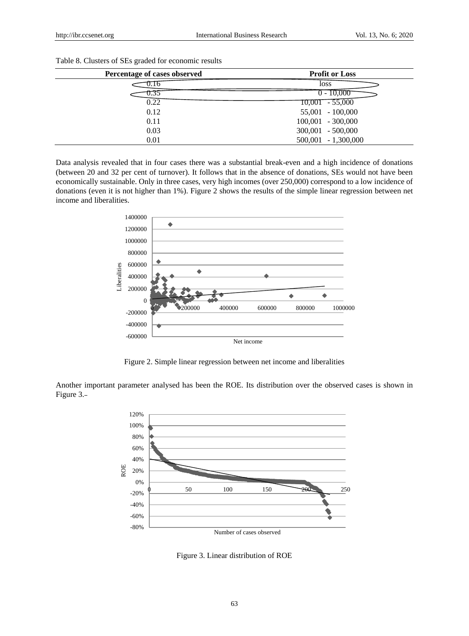| Percentage of cases observed | <b>Profit or Loss</b> |
|------------------------------|-----------------------|
| v. 10                        | loss                  |
| J.J.                         | $0 - 10,000$          |
| 0.22                         | $10,001 - 55,000$     |
| 0.12                         | 55,001 - 100,000      |
| 0.11                         | $100,001 - 300,000$   |
| 0.03                         | $300,001 - 500,000$   |
| 0.01                         | $500,001 - 1,300,000$ |

Table 8. Clusters of SEs graded for economic results

Data analysis revealed that in four cases there was a substantial break-even and a high incidence of donations (between 20 and 32 per cent of turnover). It follows that in the absence of donations, SEs would not have been economically sustainable. Only in three cases, very high incomes (over 250,000) correspond to a low incidence of donations (even it is not higher than 1%). Figure 2 shows the results of the simple linear regression between net income and liberalities.



Figure 2. Simple linear regression between net income and liberalities

Another important parameter analysed has been the ROE. Its distribution over the observed cases is shown in Figure 3.



Figure 3. Linear distribution of ROE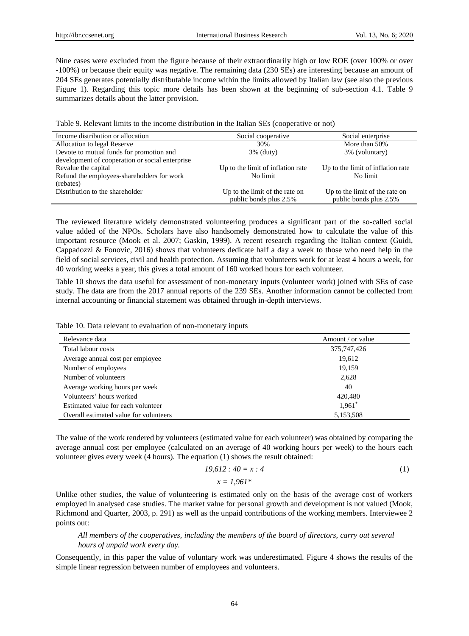Nine cases were excluded from the figure because of their extraordinarily high or low ROE (over 100% or over -100%) or because their equity was negative. The remaining data (230 SEs) are interesting because an amount of 204 SEs generates potentially distributable income within the limits allowed by Italian law (see also the previous Figure 1). Regarding this topic more details has been shown at the beginning of sub-section 4.1. Table 9 summarizes details about the latter provision.

| Table 9. Relevant limits to the income distribution in the Italian SEs (cooperative or not) |  |  |  |  |  |  |  |  |
|---------------------------------------------------------------------------------------------|--|--|--|--|--|--|--|--|
|---------------------------------------------------------------------------------------------|--|--|--|--|--|--|--|--|

| Income distribution or allocation               | Social cooperative                | Social enterprise                 |
|-------------------------------------------------|-----------------------------------|-----------------------------------|
| Allocation to legal Reserve                     | 30%                               | More than 50%                     |
| Devote to mutual funds for promotion and        | $3\%$ (duty)                      | 3% (voluntary)                    |
| development of cooperation or social enterprise |                                   |                                   |
| Revalue the capital                             | Up to the limit of inflation rate | Up to the limit of inflation rate |
| Refund the employees-shareholders for work      | No limit                          | No limit                          |
| (rebates)                                       |                                   |                                   |
| Distribution to the shareholder                 | Up to the limit of the rate on    | Up to the limit of the rate on    |
|                                                 | public bonds plus 2.5%            | public bonds plus 2.5%            |

The reviewed literature widely demonstrated volunteering produces a significant part of the so-called social value added of the NPOs. Scholars have also handsomely demonstrated how to calculate the value of this important resource (Mook et al. 2007; Gaskin, 1999). A recent research regarding the Italian context (Guidi, Cappadozzi & Fonovic, 2016) shows that volunteers dedicate half a day a week to those who need help in the field of social services, civil and health protection. Assuming that volunteers work for at least 4 hours a week, for 40 working weeks a year, this gives a total amount of 160 worked hours for each volunteer.

Table 10 shows the data useful for assessment of non-monetary inputs (volunteer work) joined with SEs of case study. The data are from the 2017 annual reports of the 239 SEs. Another information cannot be collected from internal accounting or financial statement was obtained through in-depth interviews.

|  |  |  |  |  |  |  | Table 10. Data relevant to evaluation of non-monetary inputs |  |  |
|--|--|--|--|--|--|--|--------------------------------------------------------------|--|--|
|--|--|--|--|--|--|--|--------------------------------------------------------------|--|--|

| Relevance data                         | Amount / or value |
|----------------------------------------|-------------------|
| Total labour costs                     | 375,747,426       |
| Average annual cost per employee       | 19,612            |
| Number of employees                    | 19,159            |
| Number of volunteers                   | 2,628             |
| Average working hours per week         | 40                |
| Volunteers' hours worked               | 420,480           |
| Estimated value for each volunteer     | $1,961^*$         |
| Overall estimated value for volunteers | 5,153,508         |

The value of the work rendered by volunteers (estimated value for each volunteer) was obtained by comparing the average annual cost per employee (calculated on an average of 40 working hours per week) to the hours each volunteer gives every week (4 hours). The equation (1) shows the result obtained:

$$
19,612:40 = x:4
$$
  

$$
x = 1.961*
$$
 (1)

Unlike other studies, the value of volunteering is estimated only on the basis of the average cost of workers employed in analysed case studies. The market value for personal growth and development is not valued (Mook, Richmond and Quarter, 2003, p. 291) as well as the unpaid contributions of the working members. Interviewee 2 points out:

*All members of the cooperatives, including the members of the board of directors, carry out several hours of unpaid work every day.*

Consequently, in this paper the value of voluntary work was underestimated. Figure 4 shows the results of the simple linear regression between number of employees and volunteers.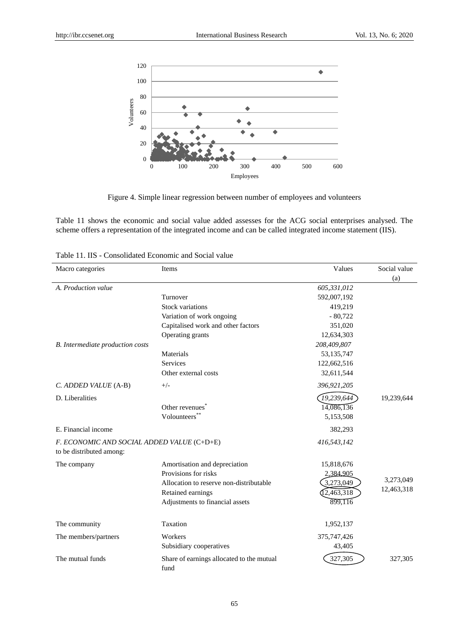

Figure 4. Simple linear regression between number of employees and volunteers

Table 11 shows the economic and social value added assesses for the ACG social enterprises analysed. The scheme offers a representation of the integrated income and can be called integrated income statement (IIS).

| Table 11. IIS - Consolidated Economic and Social value |  |
|--------------------------------------------------------|--|
|--------------------------------------------------------|--|

| Macro categories                                                       | Items                                             | Values       | Social value |
|------------------------------------------------------------------------|---------------------------------------------------|--------------|--------------|
|                                                                        |                                                   |              | (a)          |
| A. Production value                                                    |                                                   | 605,331,012  |              |
|                                                                        | Turnover                                          | 592,007,192  |              |
|                                                                        | <b>Stock variations</b>                           | 419,219      |              |
|                                                                        | Variation of work ongoing                         | $-80,722$    |              |
|                                                                        | Capitalised work and other factors                | 351,020      |              |
|                                                                        | Operating grants                                  | 12,634,303   |              |
| <b>B.</b> Intermediate production costs                                |                                                   | 208,409,807  |              |
|                                                                        | Materials                                         | 53, 135, 747 |              |
|                                                                        | <b>Services</b>                                   | 122,662,516  |              |
|                                                                        | Other external costs                              | 32,611,544   |              |
| C. ADDED VALUE (A-B)                                                   | $+/-$                                             | 396,921,205  |              |
| D. Liberalities                                                        |                                                   | 19,239,644   | 19,239,644   |
|                                                                        | Other revenues <sup>7</sup>                       | 14,086,136   |              |
|                                                                        | Volounteers*                                      | 5,153,508    |              |
| E. Financial income                                                    |                                                   | 382,293      |              |
| F. ECONOMIC AND SOCIAL ADDED VALUE (C+D+E)<br>to be distributed among: |                                                   | 416,543,142  |              |
| The company                                                            | Amortisation and depreciation                     | 15,818,676   |              |
|                                                                        | Provisions for risks                              | 2,384,905    |              |
|                                                                        | Allocation to reserve non-distributable           | 3,273,049    | 3,273,049    |
|                                                                        | Retained earnings                                 | [2,463,318]  | 12,463,318   |
|                                                                        | Adjustments to financial assets                   | 899,116      |              |
|                                                                        |                                                   |              |              |
| The community                                                          | Taxation                                          | 1,952,137    |              |
| The members/partners                                                   | Workers                                           | 375,747,426  |              |
|                                                                        | Subsidiary cooperatives                           | 43,405       |              |
| The mutual funds                                                       | Share of earnings allocated to the mutual<br>fund | 327,305      | 327,305      |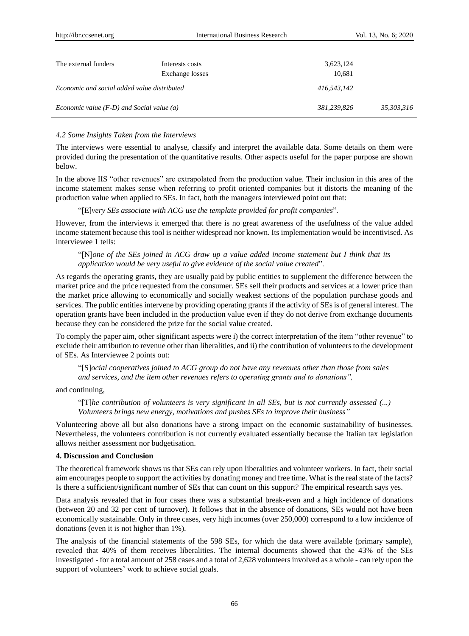| The external funders                                 | Interests costs<br>Exchange losses | 3,623,124<br>10,681 |            |
|------------------------------------------------------|------------------------------------|---------------------|------------|
| Economic and social added value distributed          |                                    | 416.543.142         |            |
| <i>Economic value</i> $(F-D)$ and Social value $(a)$ |                                    | 381,239,826         | 35,303,316 |

## *4.2 Some Insights Taken from the Interviews*

The interviews were essential to analyse, classify and interpret the available data. Some details on them were provided during the presentation of the quantitative results. Other aspects useful for the paper purpose are shown below.

In the above IIS "other revenues" are extrapolated from the production value. Their inclusion in this area of the income statement makes sense when referring to profit oriented companies but it distorts the meaning of the production value when applied to SEs. In fact, both the managers interviewed point out that:

"[E]*very SEs associate with ACG use the template provided for profit companies*".

However, from the interviews it emerged that there is no great awareness of the usefulness of the value added income statement because this tool is neither widespread nor known. Its implementation would be incentivised. As interviewee 1 tells:

"[N]*one of the SEs joined in ACG draw up a value added income statement but I think that its application would be very useful to give evidence of the social value created*".

As regards the operating grants, they are usually paid by public entities to supplement the difference between the market price and the price requested from the consumer. SEs sell their products and services at a lower price than the market price allowing to economically and socially weakest sections of the population purchase goods and services. The public entities intervene by providing operating grants if the activity of SEs is of general interest. The operation grants have been included in the production value even if they do not derive from exchange documents because they can be considered the prize for the social value created.

To comply the paper aim, other significant aspects were i) the correct interpretation of the item "other revenue" to exclude their attribution to revenue other than liberalities, and ii) the contribution of volunteers to the development of SEs. As Interviewee 2 points out:

"[S]*ocial cooperatives joined to ACG group do not have any revenues other than those from sales and services, and the item other revenues refers to operating grants and to donations",*

and continuing,

"[T]*he contribution of volunteers is very significant in all SEs, but is not currently assessed (...) Volunteers brings new energy, motivations and pushes SEs to improve their business"*

Volunteering above all but also donations have a strong impact on the economic sustainability of businesses. Nevertheless, the volunteers contribution is not currently evaluated essentially because the Italian tax legislation allows neither assessment nor budgetisation.

## **4. Discussion and Conclusion**

The theoretical framework shows us that SEs can rely upon liberalities and volunteer workers. In fact, their social aim encourages people to support the activities by donating money and free time. What is the real state of the facts? Is there a sufficient/significant number of SEs that can count on this support? The empirical research says yes.

Data analysis revealed that in four cases there was a substantial break-even and a high incidence of donations (between 20 and 32 per cent of turnover). It follows that in the absence of donations, SEs would not have been economically sustainable. Only in three cases, very high incomes (over 250,000) correspond to a low incidence of donations (even it is not higher than 1%).

The analysis of the financial statements of the 598 SEs, for which the data were available (primary sample), revealed that 40% of them receives liberalities. The internal documents showed that the 43% of the SEs investigated - for a total amount of 258 cases and a total of 2,628 volunteers involved as a whole - can rely upon the support of volunteers' work to achieve social goals.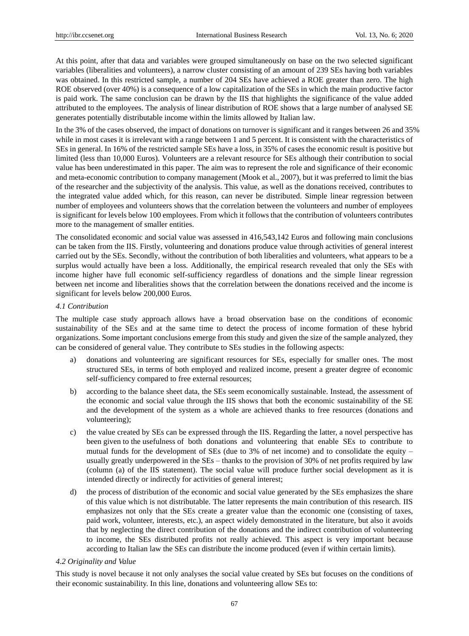At this point, after that data and variables were grouped simultaneously on base on the two selected significant variables (liberalities and volunteers), a narrow cluster consisting of an amount of 239 SEs having both variables was obtained. In this restricted sample, a number of 204 SEs have achieved a ROE greater than zero. The high ROE observed (over 40%) is a consequence of a low capitalization of the SEs in which the main productive factor is paid work. The same conclusion can be drawn by the IIS that highlights the significance of the value added attributed to the employees. The analysis of linear distribution of ROE shows that a large number of analysed SE generates potentially distributable income within the limits allowed by Italian law.

In the 3% of the cases observed, the impact of donations on turnover is significant and it ranges between 26 and 35% while in most cases it is irrelevant with a range between 1 and 5 percent. It is consistent with the characteristics of SEs in general. In 16% of the restricted sample SEs have a loss, in 35% of cases the economic result is positive but limited (less than 10,000 Euros). Volunteers are a relevant resource for SEs although their contribution to social value has been underestimated in this paper. The aim was to represent the role and significance of their economic and meta-economic contribution to company management (Mook et al., 2007), but it was preferred to limit the bias of the researcher and the subjectivity of the analysis. This value, as well as the donations received, contributes to the integrated value added which, for this reason, can never be distributed. Simple linear regression between number of employees and volunteers shows that the correlation between the volunteers and number of employees is significant for levels below 100 employees. From which it follows that the contribution of volunteers contributes more to the management of smaller entities.

The consolidated economic and social value was assessed in 416,543,142 Euros and following main conclusions can be taken from the IIS. Firstly, volunteering and donations produce value through activities of general interest carried out by the SEs. Secondly, without the contribution of both liberalities and volunteers, what appears to be a surplus would actually have been a loss. Additionally, the empirical research revealed that only the SEs with income higher have full economic self-sufficiency regardless of donations and the simple linear regression between net income and liberalities shows that the correlation between the donations received and the income is significant for levels below 200,000 Euros.

## *4.1 Contribution*

The multiple case study approach allows have a broad observation base on the conditions of economic sustainability of the SEs and at the same time to detect the process of income formation of these hybrid organizations. Some important conclusions emerge from this study and given the size of the sample analyzed, they can be considered of general value. They contribute to SEs studies in the following aspects:

- a) donations and volunteering are significant resources for SEs, especially for smaller ones. The most structured SEs, in terms of both employed and realized income, present a greater degree of economic self-sufficiency compared to free external resources;
- b) according to the balance sheet data, the SEs seem economically sustainable. Instead, the assessment of the economic and social value through the IIS shows that both the economic sustainability of the SE and the development of the system as a whole are achieved thanks to free resources (donations and volunteering);
- c) the value created by SEs can be expressed through the IIS. Regarding the latter, a novel perspective has been given to the usefulness of both donations and volunteering that enable SEs to contribute to mutual funds for the development of SEs (due to 3% of net income) and to consolidate the equity – usually greatly underpowered in the SEs – thanks to the provision of 30% of net profits required by law (column (a) of the IIS statement). The social value will produce further social development as it is intended directly or indirectly for activities of general interest;
- d) the process of distribution of the economic and social value generated by the SEs emphasizes the share of this value which is not distributable. The latter represents the main contribution of this research. IIS emphasizes not only that the SEs create a greater value than the economic one (consisting of taxes, paid work, volunteer, interests, etc.), an aspect widely demonstrated in the literature, but also it avoids that by neglecting the direct contribution of the donations and the indirect contribution of volunteering to income, the SEs distributed profits not really achieved. This aspect is very important because according to Italian law the SEs can distribute the income produced (even if within certain limits).

#### *4.2 Originality and Value*

This study is novel because it not only analyses the social value created by SEs but focuses on the conditions of their economic sustainability. In this line, donations and volunteering allow SEs to: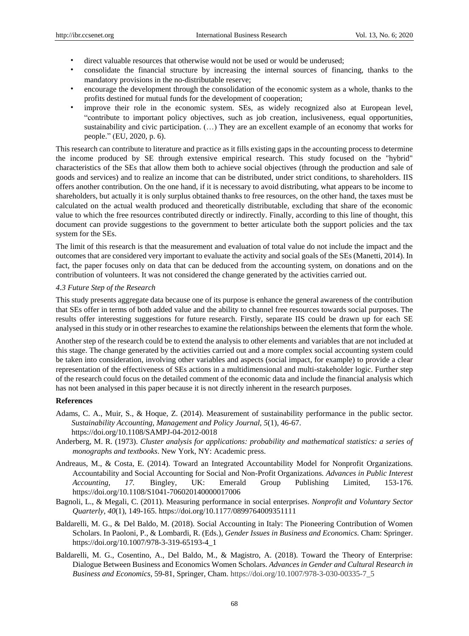- direct valuable resources that otherwise would not be used or would be underused;
- consolidate the financial structure by increasing the internal sources of financing, thanks to the mandatory provisions in the no-distributable reserve;
- encourage the development through the consolidation of the economic system as a whole, thanks to the profits destined for mutual funds for the development of cooperation;
- improve their role in the economic system. SEs, as widely recognized also at European level, "contribute to important policy objectives, such as job creation, inclusiveness, equal opportunities, sustainability and civic participation. (…) They are an excellent example of an economy that works for people." (EU, 2020, p. 6).

This research can contribute to literature and practice as it fills existing gaps in the accounting process to determine the income produced by SE through extensive empirical research. This study focused on the "hybrid" characteristics of the SEs that allow them both to achieve social objectives (through the production and sale of goods and services) and to realize an income that can be distributed, under strict conditions, to shareholders. IIS offers another contribution. On the one hand, if it is necessary to avoid distributing, what appears to be income to shareholders, but actually it is only surplus obtained thanks to free resources, on the other hand, the taxes must be calculated on the actual wealth produced and theoretically distributable, excluding that share of the economic value to which the free resources contributed directly or indirectly. Finally, according to this line of thought, this document can provide suggestions to the government to better articulate both the support policies and the tax system for the SEs.

The limit of this research is that the measurement and evaluation of total value do not include the impact and the outcomes that are considered very important to evaluate the activity and social goals of the SEs (Manetti, 2014). In fact, the paper focuses only on data that can be deduced from the accounting system, on donations and on the contribution of volunteers. It was not considered the change generated by the activities carried out.

#### *4.3 Future Step of the Research*

This study presents aggregate data because one of its purpose is enhance the general awareness of the contribution that SEs offer in terms of both added value and the ability to channel free resources towards social purposes. The results offer interesting suggestions for future research. Firstly, separate IIS could be drawn up for each SE analysed in this study or in other researches to examine the relationships between the elements that form the whole.

Another step of the research could be to extend the analysis to other elements and variables that are not included at this stage. The change generated by the activities carried out and a more complex social accounting system could be taken into consideration, involving other variables and aspects (social impact, for example) to provide a clear representation of the effectiveness of SEs actions in a multidimensional and multi-stakeholder logic. Further step of the research could focus on the detailed comment of the economic data and include the financial analysis which has not been analysed in this paper because it is not directly inherent in the research purposes.

## **References**

- Adams, C. A., Muir, S., & Hoque, Z. (2014). Measurement of sustainability performance in the public sector. *Sustainability Accounting, Management and Policy Journal, 5*(1), 46-67. https://doi.org/10.1108/SAMPJ-04-2012-0018
- Anderberg, M. R. (1973). *Cluster analysis for applications: probability and mathematical statistics: a series of monographs and textbooks*. New York, NY: Academic press.
- Andreaus, M., & Costa, E. (2014). Toward an Integrated Accountability Model for Nonprofit Organizations. Accountability and Social Accounting for Social and Non-Profit Organizations. *Advances in Public Interest Accounting, 17.* Bingley, UK: Emerald Group Publishing Limited, 153-176. https://doi.org/10.1108/S1041-706020140000017006
- Bagnoli, L., & Megali, C. (2011). Measuring performance in social enterprises. *Nonprofit and Voluntary Sector Quarterly*, *40*(1), 149-165. https://doi.org/10.1177/0899764009351111
- Baldarelli, M. G., & Del Baldo, M. (2018). Social Accounting in Italy: The Pioneering Contribution of Women Scholars. In Paoloni, P., & Lombardi, R. (Eds.), *Gender Issues in Business and Economics*. Cham: Springer. https://doi.org/10.1007/978-3-319-65193-4\_1
- Baldarelli, M. G., Cosentino, A., Del Baldo, M., & Magistro, A. (2018). Toward the Theory of Enterprise: Dialogue Between Business and Economics Women Scholars. *Advances in Gender and Cultural Research in Business and Economics,* 59-81, Springer, Cham. https://doi.org/10.1007/978-3-030-00335-7\_5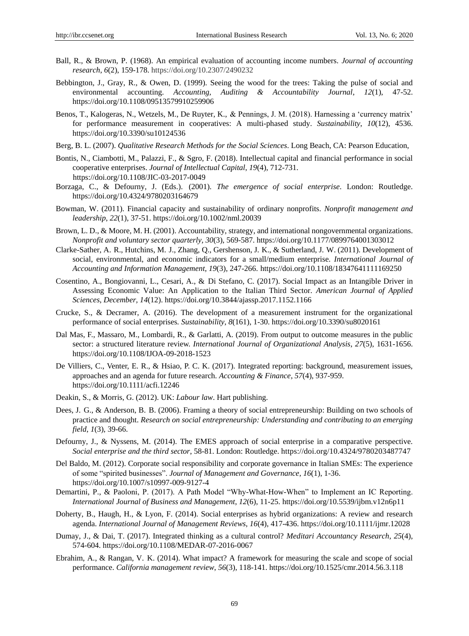- Ball, R., & Brown, P. (1968). An empirical evaluation of accounting income numbers. *Journal of accounting research*, *6*(2), 159-178. https://doi.org/10.2307/2490232
- Bebbington, J., Gray, R., & Owen, D. (1999). Seeing the wood for the trees: Taking the pulse of social and environmental accounting. *Accounting, Auditing & Accountability Journal*, *12*(1), 47-52. https://doi.org/10.1108/09513579910259906
- Benos, T., Kalogeras, N., Wetzels, M., De Ruyter, K., & Pennings, J. M. (2018). Harnessing a 'currency matrix' for performance measurement in cooperatives: A multi-phased study. *Sustainability*, *10*(12), 4536. https://doi.org/10.3390/su10124536
- Berg, B. L. (2007). *Qualitative Research Methods for the Social Sciences*. Long Beach, CA: Pearson Education,
- Bontis, N., Ciambotti, M., Palazzi, F., & Sgro, F. (2018). Intellectual capital and financial performance in social cooperative enterprises. *Journal of Intellectual Capital*, *19*(4), 712-731. https://doi.org/10.1108/JIC-03-2017-0049
- Borzaga, C., & Defourny, J. (Eds.). (2001). *The emergence of social enterprise*. London: Routledge. https://doi.org/10.4324/9780203164679
- Bowman, W. (2011). Financial capacity and sustainability of ordinary nonprofits. *Nonprofit management and leadership*, *22*(1), 37-51. https://doi.org/10.1002/nml.20039
- Brown, L. D., & Moore, M. H. (2001). Accountability, strategy, and international nongovernmental organizations. *Nonprofit and voluntary sector quarterly, 30*(3), 569-587. https://doi.org/10.1177/0899764001303012
- Clarke-Sather, A. R., Hutchins, M. J., Zhang, Q., Gershenson, J. K., & Sutherland, J. W. (2011). Development of social, environmental, and economic indicators for a small/medium enterprise. *International Journal of Accounting and Information Management*, *19*(3), 247-266. https://doi.org/10.1108/18347641111169250
- Cosentino, A., Bongiovanni, L., Cesari, A., & Di Stefano, C. (2017). Social Impact as an Intangible Driver in Assessing Economic Value: An Application to the Italian Third Sector. *American Journal of Applied Sciences*, *December, 14*(12). https://doi.org/10.3844/ajassp.2017.1152.1166
- Crucke, S., & Decramer, A. (2016). The development of a measurement instrument for the organizational performance of social enterprises*. Sustainability*, *8*(161), 1-30. https://doi.org/10.3390/su8020161
- Dal Mas, F., Massaro, M., Lombardi, R., & Garlatti, A. (2019). From output to outcome measures in the public sector: a structured literature review. *International Journal of Organizational Analysis*, *27*(5), 1631-1656. https://doi.org/10.1108/IJOA-09-2018-1523
- De Villiers, C., Venter, E. R., & Hsiao, P. C. K. (2017). Integrated reporting: background, measurement issues, approaches and an agenda for future research. *Accounting & Finance*, *57*(4), 937-959. https://doi.org/10.1111/acfi.12246
- Deakin, S., & Morris, G. (2012). UK: *Labour law*. Hart publishing.
- Dees, J. G., & Anderson, B. B. (2006). Framing a theory of social entrepreneurship: Building on two schools of practice and thought. *Research on social entrepreneurship: Understanding and contributing to an emerging field*, *1*(3), 39-66.
- Defourny, J., & Nyssens, M. (2014). The EMES approach of social enterprise in a comparative perspective. *Social enterprise and the third sector*, 58-81. London: Routledge. https://doi.org/10.4324/9780203487747
- Del Baldo, M. (2012). Corporate social responsibility and corporate governance in Italian SMEs: The experience of some "spirited businesses". *Journal of Management and Governance*, *16*(1), 1-36. https://doi.org/10.1007/s10997-009-9127-4
- Demartini, P., & Paoloni, P. (2017). A Path Model "Why-What-How-When" to Implement an IC Reporting. *International Journal of Business and Management*, *12*(6), 11-25. https://doi.org/10.5539/ijbm.v12n6p11
- Doherty, B., Haugh, H., & Lyon, F. (2014). Social enterprises as hybrid organizations: A review and research agenda. *International Journal of Management Reviews*, *16*(4), 417-436. https://doi.org/10.1111/ijmr.12028
- Dumay, J., & Dai, T. (2017). Integrated thinking as a cultural control? *Meditari Accountancy Research*, *25*(4), 574-604. https://doi.org/10.1108/MEDAR-07-2016-0067
- Ebrahim, A., & Rangan, V. K. (2014). What impact? A framework for measuring the scale and scope of social performance. *California management review*, *56*(3), 118-141. https://doi.org/10.1525/cmr.2014.56.3.118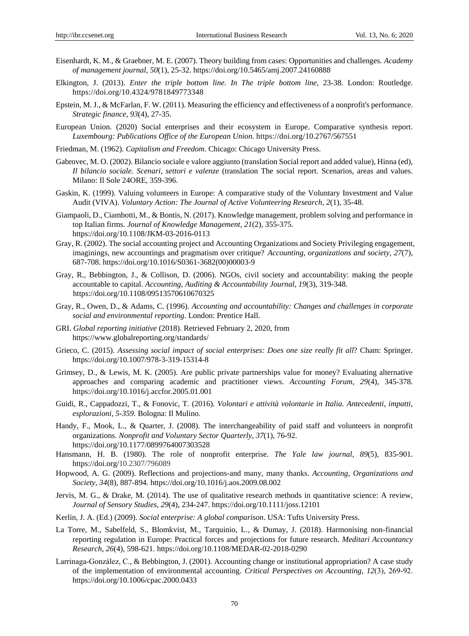- Eisenhardt, K. M., & Graebner, M. E. (2007). Theory building from cases: Opportunities and challenges. *Academy of management journal*, *50*(1), 25-32. https://doi.org/10.5465/amj.2007.24160888
- Elkington, J. (2013). *Enter the triple bottom line. In The triple bottom line*, 23-38. London: Routledge. https://doi.org/10.4324/9781849773348
- Epstein, M. J., & McFarlan, F. W. (2011). Measuring the efficiency and effectiveness of a nonprofit's performance. *Strategic finance*, *93*(4), 27-35.
- European Union. (2020) Social enterprises and their ecosystem in Europe. Comparative synthesis report. *Luxembourg: Publications Office of the European Union*. https://doi.org/10.2767/567551
- Friedman, M. (1962). *Capitalism and Freedom*. Chicago: Chicago University Press.
- Gabrovec, M. O. (2002). Bilancio sociale e valore aggiunto (translation Social report and added value), Hinna (ed), *Il bilancio sociale. Scenari, settori e valenze* (translation The social report. Scenarios, areas and values. Milano: Il Sole 24ORE, 359-396.
- Gaskin, K. (1999). Valuing volunteers in Europe: A comparative study of the Voluntary Investment and Value Audit (VIVA). *Voluntary Action: The Journal of Active Volunteering Research*, *2*(1), 35-48.
- Giampaoli, D., Ciambotti, M., & Bontis, N. (2017). Knowledge management, problem solving and performance in top Italian firms. *Journal of Knowledge Management*, *21*(2), 355-375. https://doi.org/10.1108/JKM-03-2016-0113
- Gray, R. (2002). The social accounting project and Accounting Organizations and Society Privileging engagement, imaginings, new accountings and pragmatism over critique? *Accounting, organizations and society, 27*(7), 687-708. https://doi.org/10.1016/S0361-3682(00)00003-9
- Gray, R., Bebbington, J., & Collison, D. (2006). NGOs, civil society and accountability: making the people accountable to capital. *Accounting, Auditing & Accountability Journal*, *19*(3), 319-348. https://doi.org/10.1108/09513570610670325
- Gray, R., Owen, D., & Adams, C. (1996). *Accounting and accountability: Changes and challenges in corporate social and environmental reporting*. London: Prentice Hall.
- GRI. *Global reporting initiative* (2018). Retrieved February 2, 2020, from https://www.globalreporting.org/standards/
- Grieco, C. (2015). *Assessing social impact of social enterprises: Does one size really fit all?* Cham: Springer. https://doi.org/10.1007/978-3-319-15314-8
- Grimsey, D., & Lewis, M. K. (2005). Are public private partnerships value for money? Evaluating alternative approaches and comparing academic and practitioner views. *Accounting Forum*, *29*(4), 345-378. https://doi.org/10.1016/j.accfor.2005.01.001
- Guidi, R., Cappadozzi, T., & Fonovic, T. (2016). *Volontari e attività volontarie in Italia. Antecedenti, impatti, esplorazioni, 5-359.* Bologna: Il Mulino.
- Handy, F., Mook, L., & Quarter, J. (2008). The interchangeability of paid staff and volunteers in nonprofit organizations. *Nonprofit and Voluntary Sector Quarterly*, *37*(1), 76-92. https://doi.org/10.1177/0899764007303528
- Hansmann, H. B. (1980). The role of nonprofit enterprise. *The Yale law journal*, *89*(5), 835-901. https://doi.org/10.2307/796089
- Hopwood, A. G. (2009). Reflections and projections-and many, many thanks. *Accounting, Organizations and Society*, *34*(8), 887-894. https://doi.org/10.1016/j.aos.2009.08.002
- Jervis, M. G., & Drake, M. (2014). The use of qualitative research methods in quantitative science: A review, *Journal of Sensory Studies*, *29*(4), 234-247. https://doi.org/10.1111/joss.12101
- Kerlin, J. A. (Ed.) (2009). *Social enterprise: A global comparison*. USA: Tufts University Press.
- La Torre, M., Sabelfeld, S., Blomkvist, M., Tarquinio, L., & Dumay, J. (2018). Harmonising non-financial reporting regulation in Europe: Practical forces and projections for future research. *Meditari Accountancy Research*, *26*(4), 598-621. https://doi.org/10.1108/MEDAR-02-2018-0290
- Larrinaga‐González, C., & Bebbington, J. (2001). Accounting change or institutional appropriation? A case study of the implementation of environmental accounting. *Critical Perspectives on Accounting*, *12*(3), 269‐92. https://doi.org/10.1006/cpac.2000.0433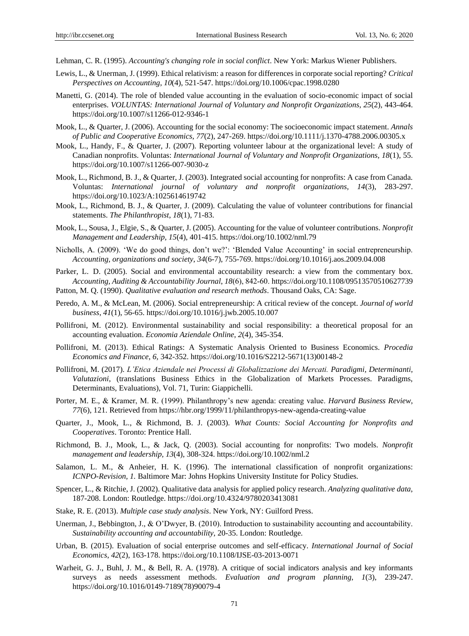Lehman, C. R. (1995). *Accounting's changing role in social conflict*. New York: Markus Wiener Publishers.

- Lewis, L., & Unerman, J. (1999). Ethical relativism: a reason for differences in corporate social reporting? *Critical Perspectives on Accounting*, *10*(4), 521-547. https://doi.org/10.1006/cpac.1998.0280
- Manetti, G. (2014). The role of blended value accounting in the evaluation of socio-economic impact of social enterprises. *VOLUNTAS: International Journal of Voluntary and Nonprofit Organizations*, *25*(2), 443-464. https://doi.org/10.1007/s11266-012-9346-1
- Mook, L., & Quarter, J. (2006). Accounting for the social economy: The socioeconomic impact statement. *Annals of Public and Cooperative Economics*, *77*(2), 247-269. https://doi.org/10.1111/j.1370-4788.2006.00305.x
- Mook, L., Handy, F., & Quarter, J. (2007). Reporting volunteer labour at the organizational level: A study of Canadian nonprofits. Voluntas: *International Journal of Voluntary and Nonprofit Organizations, 18*(1), 55. https://doi.org/10.1007/s11266-007-9030-z
- Mook, L., Richmond, B. J., & Quarter, J. (2003). Integrated social accounting for nonprofits: A case from Canada. Voluntas: *International journal of voluntary and nonprofit organizations, 14*(3), 283-297. https://doi.org/10.1023/A:1025614619742
- Mook, L., Richmond, B. J., & Quarter, J. (2009). Calculating the value of volunteer contributions for financial statements. *The Philanthropist*, *18*(1), 71-83.
- Mook, L., Sousa, J., Elgie, S., & Quarter, J. (2005). Accounting for the value of volunteer contributions. *Nonprofit Management and Leadership, 15*(4), 401-415. https://doi.org/10.1002/nml.79
- Nicholls, A. (2009). "We do good things, don"t we?": "Blended Value Accounting" in social entrepreneurship. *Accounting, organizations and society*, *34*(6-7), 755-769. https://doi.org/10.1016/j.aos.2009.04.008
- Parker, L. D. (2005). Social and environmental accountability research: a view from the commentary box. *Accounting, Auditing & Accountability Journal*, *18*(6), 842‐60. https://doi.org/10.1108/09513570510627739 Patton, M. Q. (1990). *Qualitative evaluation and research methods*. Thousand Oaks, CA: Sage.
- Peredo, A. M., & McLean, M. (2006). Social entrepreneurship: A critical review of the concept. *Journal of world business*, *41*(1), 56-65. https://doi.org/10.1016/j.jwb.2005.10.007
- Pollifroni, M. (2012). Environmental sustainability and social responsibility: a theoretical proposal for an accounting evaluation. *Economia Aziendale Online*, *2*(4), 345-354.
- Pollifroni, M. (2013). Ethical Ratings: A Systematic Analysis Oriented to Business Economics. *Procedia Economics and Finance*, *6,* 342-352. https://doi.org/10.1016/S2212-5671(13)00148-2
- Pollifroni, M. (2017). *L'Etica Aziendale nei Processi di Globalizzazione dei Mercati. Paradigmi, Determinanti, Valutazioni*, (translations Business Ethics in the Globalization of Markets Processes. Paradigms, Determinants, Evaluations), Vol. 71, Turin: Giappichelli.
- Porter, M. E., & Kramer, M. R. (1999). Philanthropy"s new agenda: creating value. *Harvard Business Review*, *77*(6), 121. Retrieved from https://hbr.org/1999/11/philanthropys-new-agenda-creating-value
- Quarter, J., Mook, L., & Richmond, B. J. (2003). *What Counts: Social Accounting for Nonprofits and Cooperatives*. Toronto: Prentice Hall.
- Richmond, B. J., Mook, L., & Jack, Q. (2003). Social accounting for nonprofits: Two models. *Nonprofit management and leadership, 13*(4), 308-324. https://doi.org/10.1002/nml.2
- Salamon, L. M., & Anheier, H. K. (1996). The international classification of nonprofit organizations: *ICNPO-Revision, 1.* Baltimore Mar: Johns Hopkins University Institute for Policy Studies.
- Spencer, L., & Ritchie, J. (2002). Qualitative data analysis for applied policy research. *Analyzing qualitative data*, 187-208. London: Routledge. https://doi.org/10.4324/9780203413081
- Stake, R. E. (2013). *Multiple case study analysis*. New York, NY: Guilford Press.
- Unerman, J., Bebbington, J., & O'Dwyer, B. (2010). Introduction to sustainability accounting and accountability. *Sustainability accounting and accountability*, 20-35. London: Routledge.
- Urban, B. (2015). Evaluation of social enterprise outcomes and self-efficacy. *International Journal of Social Economics*, *42*(2), 163-178. https://doi.org/10.1108/IJSE-03-2013-0071
- Warheit, G. J., Buhl, J. M., & Bell, R. A. (1978). A critique of social indicators analysis and key informants surveys as needs assessment methods. *Evaluation and program planning*, *1*(3), 239-247. https://doi.org/10.1016/0149-7189(78)90079-4